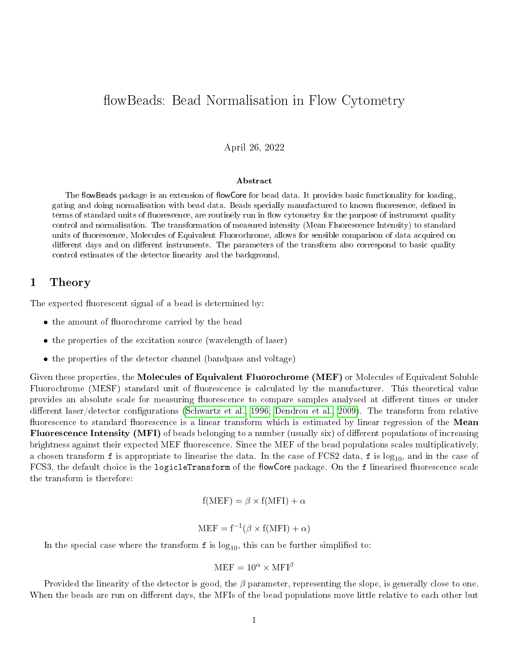# flowBeads: Bead Normalisation in Flow Cytometry

### April 26, 2022

#### Abstract

The flowBeads package is an extension of flowCore for bead data. It provides basic functionality for loading, gating and doing normalisation with bead data. Beads specially manufactured to known fluoresence, defined in terms of standard units of fluorescence, are routinely run in flow cytometry for the purpose of instrument quality control and normalisation. The transformation of measured intensity (Mean Fluorescence Intensity) to standard units of fluorescence, Molecules of Equivalent Fluorochrome, allows for sensible comparison of data acquired on different days and on different instruments. The parameters of the transform also correspond to basic quality control estimates of the detector linearity and the background.

### 1 Theory

The expected fluorescent signal of a bead is determined by:

- the amount of fluorochrome carried by the bead
- the properties of the excitation source (wavelength of laser)
- the properties of the detector channel (bandpass and voltage)

Given these properties, the Molecules of Equivalent Fluorochrome (MEF) or Molecules of Equivalent Soluble Fluorochrome (MESF) standard unit of fluorescence is calculated by the manufacturer. This theoretical value provides an absolute scale for measuring fluorescence to compare samples analysed at different times or under different laser/detector configurations [\(Schwartz et al., 1996;](#page-8-0) [Dendrou et al., 2009\)](#page-8-1). The transform from relative fluorescence to standard fluorescence is a linear transform which is estimated by linear regression of the **Mean** Fluorescence Intensity (MFI) of beads belonging to a number (usually six) of different populations of increasing brightness against their expected MEF fluorescence. Since the MEF of the bead populations scales multiplicatively, a chosen transform  $f$  is appropriate to linearise the data. In the case of FCS2 data,  $f$  is log<sub>10</sub>, and in the case of FCS3, the default choice is the logicleTransform of the flowCore package. On the f linearised fluorescence scale the transform is therefore:

$$
f(MEF) = \beta \times f(MFI) + \alpha
$$

$$
MEF = f^{-1}(\beta \times f(MFI) + \alpha)
$$

In the special case where the transform  $f$  is  $log_{10}$ , this can be further simplified to:

$$
MEF = 10^{\alpha} \times MFI^{\beta}
$$

Provided the linearity of the detector is good, the  $\beta$  parameter, representing the slope, is generally close to one. When the beads are run on different days, the MFIs of the bead populations move little relative to each other but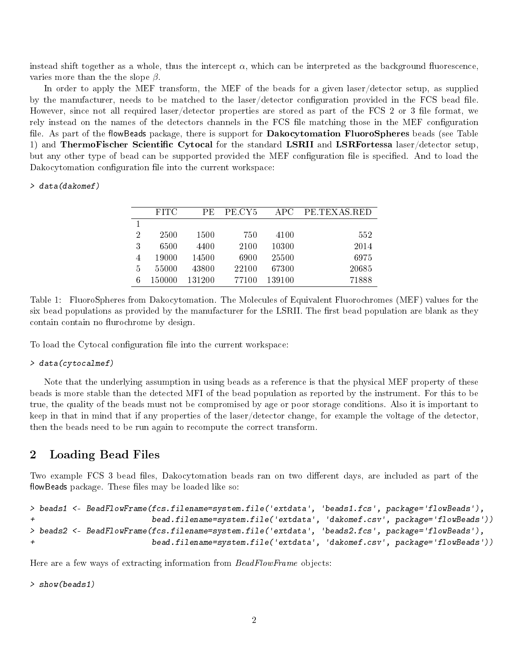instead shift together as a whole, thus the intercept  $\alpha$ , which can be interpreted as the background fluorescence, varies more than the the slope  $\beta$ .

In order to apply the MEF transform, the MEF of the beads for a given laser/detector setup, as supplied by the manufacturer, needs to be matched to the laser/detector configuration provided in the FCS bead file. However, since not all required laser/detector properties are stored as part of the FCS 2 or 3 file format, we rely instead on the names of the detectors channels in the FCS file matching those in the MEF configuration file. As part of the flowBeads package, there is support for **Dakocytomation FluoroSpheres** beads (see Table 1) and ThermoFischer Scientific Cytocal for the standard LSRII and LSRFortessa laser/detector setup, but any other type of bead can be supported provided the MEF configuration file is specified. And to load the Dakocytomation configuration file into the current workspace:

#### > data(dakomef)

|                | <b>FITC</b> | РE     | PE.CY5 | APC    | PE TEXAS RED |
|----------------|-------------|--------|--------|--------|--------------|
|                |             |        |        |        |              |
| $\overline{2}$ | 2500        | 1500   | 750    | 4100   | 552          |
| 3              | 6500        | 4400   | 2100   | 10300  | 2014         |
|                | 19000       | 14500  | 6900   | 25500  | 6975         |
| 5              | 55000       | 43800  | 22100  | 67300  | 20685        |
| 6              | 150000      | 131200 | 77100  | 139100 | 71888        |

Table 1: FluoroSpheres from Dakocytomation. The Molecules of Equivalent Fluorochromes (MEF) values for the six bead populations as provided by the manufacturer for the LSRII. The first bead population are blank as they contain contain no flurochrome by design.

To load the Cytocal configuration file into the current workspace:

#### > data(cytocalmef)

Note that the underlying assumption in using beads as a reference is that the physical MEF property of these beads is more stable than the detected MFI of the bead population as reported by the instrument. For this to be true, the quality of the beads must not be compromised by age or poor storage conditions. Also it is important to keep in that in mind that if any properties of the laser/detector change, for example the voltage of the detector, then the beads need to be run again to recompute the correct transform.

### 2 Loading Bead Files

Two example FCS 3 bead files, Dakocytomation beads ran on two different days, are included as part of the flowBeads package. These files may be loaded like so:

```
> beads1 <- BeadFlowFrame(fcs.filename=system.file('extdata', 'beads1.fcs', package='flowBeads'),
+ bead.filename=system.file('extdata', 'dakomef.csv', package='flowBeads'))
> beads2 <- BeadFlowFrame(fcs.filename=system.file('extdata', 'beads2.fcs', package='flowBeads'),
+ bead.filename=system.file('extdata', 'dakomef.csv', package='flowBeads'))
```
Here are a few ways of extracting information from  $BeadFlowFrame$  objects:

> show(beads1)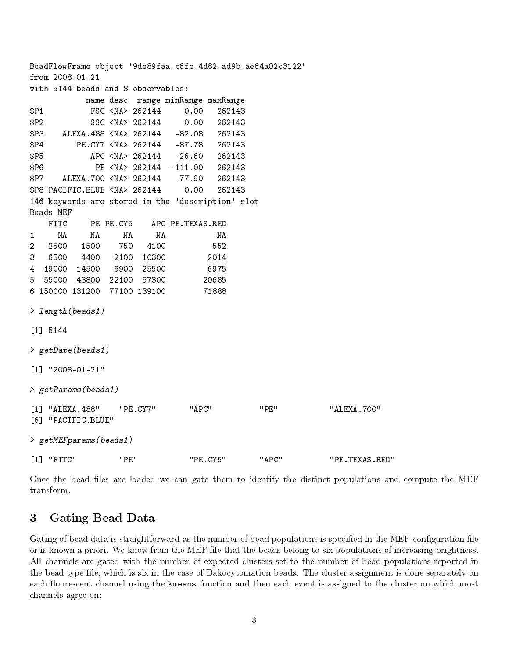BeadFlowFrame object '9de89faa-c6fe-4d82-ad9b-ae64a02c3122' from 2008-01-21 with 5144 beads and 8 observables: name desc range minRange maxRange \$P1 FSC <NA> 262144 0.00 262143 \$P2 SSC <NA> 262144 0.00 262143 \$P3 ALEXA.488 <NA> 262144 -82.08 262143 \$P4 PE.CY7 <NA> 262144 -87.78 262143 \$P5 APC <NA> 262144 -26.60 262143 \$P6 PE <NA> 262144 -111.00 262143 \$P7 ALEXA.700 <NA> 262144 -77.90 262143 \$P8 PACIFIC.BLUE <NA> 262144 0.00 262143 146 keywords are stored in the 'description' slot Beads MEF FITC PE PE.CY5 APC PE.TEXAS.RED 1 NA NA NA NA NA 2 2500 1500 750 4100 552 3 6500 4400 2100 10300 2014 4 19000 14500 6900 25500 6975 5 55000 43800 22100 67300 20685 6 150000 131200 77100 139100 71888 > length(beads1) [1] 5144 > getDate(beads1) [1] "2008-01-21" > getParams(beads1) [1] "ALEXA.488" "PE.CY7" "APC" "PE" "ALEXA.700" [6] "PACIFIC.BLUE" > getMEFparams(beads1) [1] "FITC" "PE" "PE.CY5" "APC" "PE.TEXAS.RED"

Once the bead files are loaded we can gate them to identify the distinct populations and compute the MEF transform.

## 3 Gating Bead Data

Gating of bead data is straightforward as the number of bead populations is specified in the MEF configuration file or is known a priori. We know from the MEF file that the beads belong to six populations of increasing brightness. All channels are gated with the number of expected clusters set to the number of bead populations reported in the bead type file, which is six in the case of Dakocytomation beads. The cluster assignment is done separately on each fluorescent channel using the kmeans function and then each event is assigned to the cluster on which most channels agree on: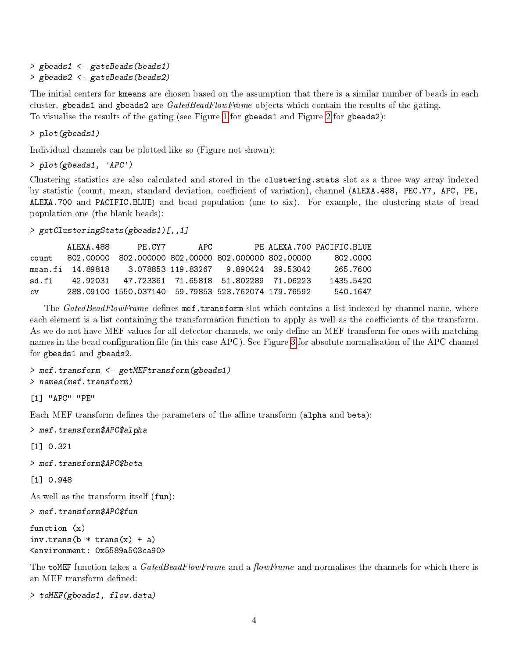```
> gbeads1 <- gateBeads(beads1)
> gbeads2 <- gateBeads(beads2)
```
The initial centers for kmeans are chosen based on the assumption that there is a similar number of beads in each cluster. gbeads1 and gbeads2 are GatedBeadFlowFrame objects which contain the results of the gating. To visualise the results of the gating (see Figure [1](#page-5-0) for gbeads1 and Figure [2](#page-6-0) for gbeads2):

> plot(gbeads1)

Individual channels can be plotted like so (Figure not shown):

```
> plot(gbeads1, 'APC')
```
Clustering statistics are also calculated and stored in the clustering.stats slot as a three way array indexed by statistic (count, mean, standard deviation, coefficient of variation), channel (ALEXA.488, PEC.Y7, APC, PE, ALEXA.700 and PACIFIC.BLUE) and bead population (one to six). For example, the clustering stats of bead population one (the blank beads):

```
> getClusteringStats(gbeads1)[,,1]
```
ALEXA.488 PE.CY7 APC PE ALEXA.700 PACIFIC.BLUE count 802.00000 802.000000 802.00000 802.000000 802.00000 802.0000 mean.fi 14.89818 3.078853 119.83267 9.890424 39.53042 265.7600 sd.fi 42.92031 47.723361 71.65818 51.802289 71.06223 1435.5420 cv 288.09100 1550.037140 59.79853 523.762074 179.76592 540.1647

The GatedBeadFlowFrame defines mef.transform slot which contains a list indexed by channel name, where each element is a list containing the transformation function to apply as well as the coefficients of the transform. As we do not have MEF values for all detector channels, we only define an MEF transform for ones with matching names in the bead configuration file (in this case APC). See Figure [3](#page-7-0) for absolute normalisation of the APC channel for gbeads1 and gbeads2.

```
> mef.transform <- getMEFtransform(gbeads1)
> names(mef.transform)
```
[1] "APC" "PE"

Each MEF transform defines the parameters of the affine transform  $(\text{alpha and beta})$ :

```
> mef.transform$APC$alpha
```
[1] 0.321

```
> mef.transform$APC$beta
```
[1] 0.948

As well as the transform itself (fun):

> mef.transform\$APC\$fun

```
function (x)
inv.transpose(b * trans(x) + a)<environment: 0x5589a503ca90>
```
The toMEF function takes a GatedBeadFlowFrame and a flowFrame and normalises the channels for which there is an MEF transform defined:

> toMEF(gbeads1, flow.data)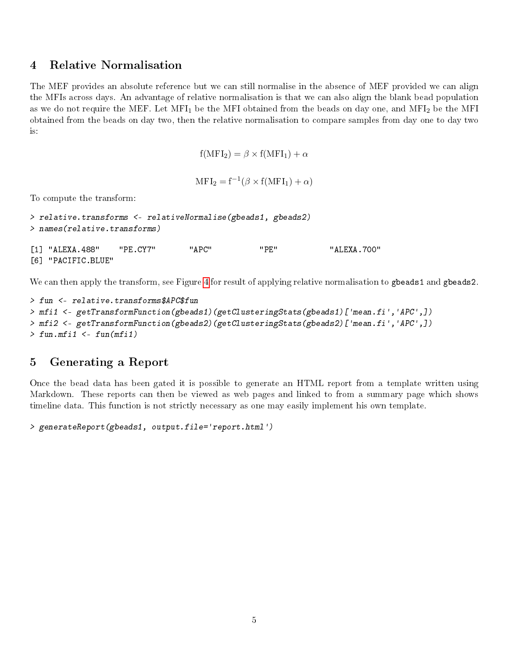## 4 Relative Normalisation

The MEF provides an absolute reference but we can still normalise in the absence of MEF provided we can align the MFIs across days. An advantage of relative normalisation is that we can also align the blank bead population as we do not require the MEF. Let MFI<sub>1</sub> be the MFI obtained from the beads on day one, and MFI<sub>2</sub> be the MFI obtained from the beads on day two, then the relative normalisation to compare samples from day one to day two is:

$$
f(MFI_2) = \beta \times f(MFI_1) + \alpha
$$

$$
MFI_2 = f^{-1}(\beta \times f(MFI_1) + \alpha)
$$

To compute the transform:

```
> relative.transforms <- relativeNormalise(gbeads1, gbeads2)
> names(relative.transforms)
[1] "ALEXA.488" "PE.CY7" "APC" "PE" "ALEXA.700"
```
[6] "PACIFIC.BLUE"

We can then apply the transform, see Figure [4](#page-7-1) for result of applying relative normalisation to gbeads1 and gbeads2.

```
> fun <- relative.transforms$APC$fun
> mfi1 <- getTransformFunction(gbeads1)(getClusteringStats(gbeads1)['mean.fi','APC',])
> mfi2 <- getTransformFunction(gbeads2)(getClusteringStats(gbeads2)['mean.fi','APC',])
> fun.mfi1 \le fun(mfi1)
```
## 5 Generating a Report

Once the bead data has been gated it is possible to generate an HTML report from a template written using Markdown. These reports can then be viewed as web pages and linked to from a summary page which shows timeline data. This function is not strictly necessary as one may easily implement his own template.

```
> generateReport(gbeads1, output.file='report.html')
```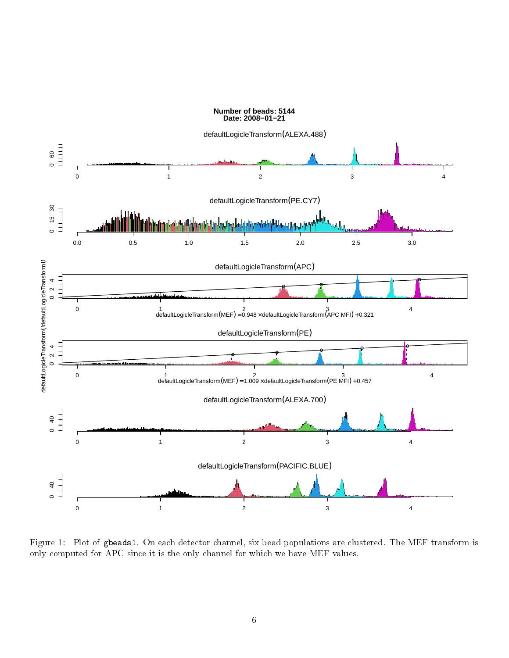

<span id="page-5-0"></span>Figure 1: Plot of gbeads1. On each detector channel, six bead populations are clustered. The MEF transform is only computed for APC since it is the only channel for which we have MEF values.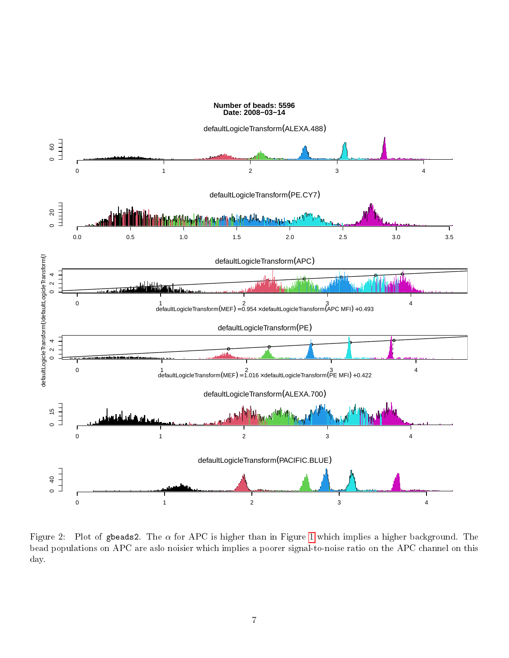

<span id="page-6-0"></span>Figure 2: Plot of gbeads2. The  $\alpha$  for APC is higher than in Figure [1](#page-5-0) which implies a higher background. The bead populations on APC are aslo noisier which implies a poorer signal-to-noise ratio on the APC channel on this day.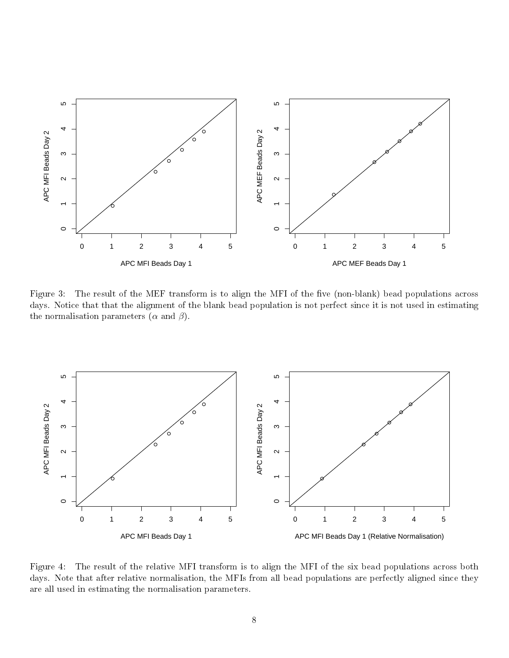

<span id="page-7-0"></span>Figure 3: The result of the MEF transform is to align the MFI of the five (non-blank) bead populations across days. Notice that that the alignment of the blank bead population is not perfect since it is not used in estimating the normalisation parameters  $(\alpha$  and  $\beta)$ .



<span id="page-7-1"></span>Figure 4: The result of the relative MFI transform is to align the MFI of the six bead populations across both days. Note that after relative normalisation, the MFIs from all bead populations are perfectly aligned since they are all used in estimating the normalisation parameters.